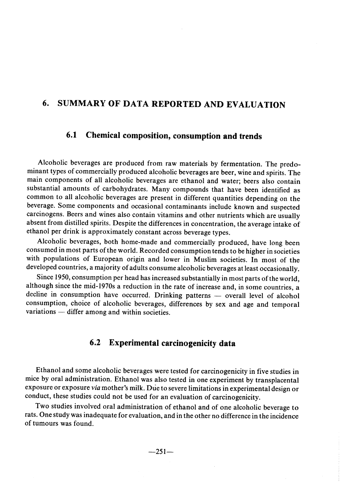# 6. SUMMARY OF DATA REPORTED AND EVALUATION

# 6.1 Chemical composition, consumption and trends

Alcoholic beverages are produced from raw materials by fermentation. The predominant types of commercially produced alcoholic beverages are beer, wine and spirits. The main components of all alcoholic beverages are ethanol and water; beers also contain substantial amounts of carbohydrates. Many compounds that have been identified as common to alI alcoholic beverages are present in different quantities depending on the beverage. Some components and occasional contaminants include known and suspected carcinogens. Beers and wines also contain vitamins and other nutrients which are usually absent from distiled spirits. Despite the differences in concentration, the average intake of ethanol per drink is approximately constant across beverage types.

A1coholic beverages, both home-made and commercially produced, have long been consumed in most parts of the world. Recorded consumption tends to be higher in societies with populations of European origin and lower in Muslim societies. In most of the developed countries, a majority of adults consume alcoholic beverages at least occasionally.

Since 1950, consumption per head has increased substantially in most parts of the world, although since the mid-1970s a reduction in the rate of increase and, in some countries, a decline in consumption have occurred. Drinking patterns - overall level of alcohol consumption, choice of alcoholic beverages, differences by sex and age and temporal variations - differ among and within societies.

# 6.2 Experimental carcinogenicity data

Ethanol and some alcoholic beverages were tested for carcinogenicity in five studies in mice by oral administration. Ethanol was also tested in one experiment by transplacental exposure or exposure via mother's milk. Due to severe limitations in experimental design or conduct, these studies could not be used for an evaluation of carcinogenicity.

Two studies involved oral administration of ethanol and of one alcoholic beverage to rats. One study was inadequate for evaluation, and in the other no difference in the incidence of tumours was found.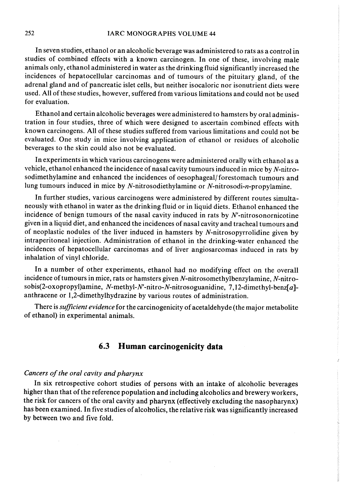ln seven studies, ethanol or an a1coholic beverage was administered to rats as a control in studies of combined effects with a known carcinogen. ln one of these, involving male animaIs only, ethanol administered in water as the drinking fluid significantly increased the incidences of hepatocelIular carcinomas and of tumours of the pituitary gland, of the adrenal gland and of pancreatic islet cells, but neither isocaloric nor isonutrient diets were used. All of these studies, however, suffered from various limitations and could not be used for evaluation.

Ethanol and certain a1coholic beverages were administered to hamsters by oral administration in four studies, three of which were designed to ascertain combined effects with known carcinogens. AlI of these studies suffered from various limitations and could not be evaluated. One study in mice involving application of ethanol or residues of alcoholic beverages to the skin could also not be evaluated.

ln experiments in which various carcinogens were administered orally with ethanol as a vehicle, ethanol enhanced the incidence of nasal cavity tumours induced in mice by N-nitrosodimethylamine and enhanced the incidences of oesophageal/forestomach tumours and lung tumours induced in mice by N-nitrosodiethylamine or N-nitrosodi-n-propylamine.

ln further studies, various carcinogens were administered by different routes simultaneously with ethanol in water as the drinking fluid or in liquid diets. Ethanol enhanced the incidence of benign tumours of the nasal cavity induced in rats by  $N$ -nitrosonornicotine given in a liquid diet, and enhanced the incidences of nasal cavity and tracheal tumours and of neoplastic nodules of the liver induced in hamsters by N-nitrosopyrrolidine given by intraperitoneal injection. Administration of ethanol in the drinking-water enhanced the incidences of hepatocellular carcinomas and of liver angiosarcomas induced in rats by inhalation of vinyl chloride.

ln a number of other experiments, ethanol had no modifying effect on the overall incidence oftumours in mice, rats or hamsters given N-nitrosomethylbenzylamine, N-nitrosobis(2-oxopropyl)amine, N-methyl-N'-nitro-N-nitrosoguanidine, 7,12-dimethyl-benz[a]anthracene or 1,2-dimethylhydrazine by various routes of administration.

There is sufficient evidence for the carcinogenicity of acetaldehyde (the major metabolite of ethanol) in experimental animaIs.

# 6.3 Human carcinogenicity data

#### Cancers of the oral cavity and pharynx

In six retrospective cohort studies of persons with an intake of alcoholic beverages higher than that of the reference population and including alcoholics and brewery workers, the risk for cancers of the oral cavity and pharynx (effectively excluding the nasopharynx) has been examined. ln five studies of alcoholics, the relative risk was significantly increased by between two and five fold.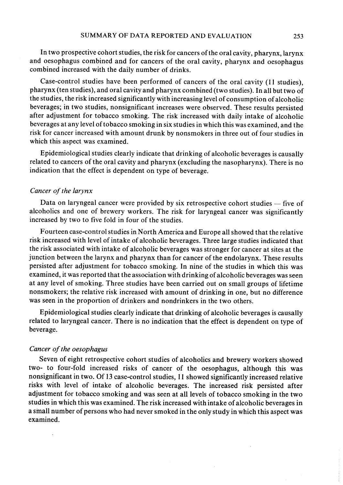ln two prospective cohort studies, the risk for cancers of the oral cavity, pharynx, larynx and oesophagus combined and for cancers of the oral cavity, pharynx and oesophagus combined increased with the daily number of drinks.

Case-control studies have been performed of cancers of the oral cavity (11 studies), pharynx (ten studies), and oral cavity and pharynx combined (two studies). ln alI but two of the studies, the risk increased significantly with increasing level of consumption of a1coholic beverages; in two studies, nonsignificant increases were observed. These results persisted after adjustment for tobacco smoking. The risk increased with daily intake of a1coholic beverages at any level of tobacco smoking in six studies in which this was examined, and the risk for cancer increased with amount drunk by nonsmokers in three out of four studies in which this aspect was examined.

Epidemiological studies clearly indicate that drinking of alcoholic beverages is causally related to cancers of the oral cavity and pharynx (excluding the nasopharynx). There is no indication that the effect is dependent on type of beverage.

#### Cancer of the larynx

Data on laryngeal cancer were provided by six retrospective cohort studies  $-$  five of alcoholics and one of brewery workers. The risk for laryngeal cancer was significantly increased by two to five fold in four of the studies.

Fourteen case-control studies in North America and Europe alI showed that the relative risk increased with level of intake of alcoholic beverages. Three large studies indicated that the risk associated with intake of a1coholic beverages was stronger for cancer at sites at the junction between the larynx and pharynx than for cancer of the endolarynx. These results persisted after adjustment for tobacco smoking. ln nine of the studies in which this was examined, it was reported that the association with drinking of a1coholic beverages was seen at any level of smoking. Three studies have been carried out on small groups of lifetime nonsmokers; the relative risk increased with amount of drinking in one, but no difference was seen in the proportion of drinkers and nondrinkers in the two others.

Epidemiological studies clearly indicate that drinking of a1coholic beverages is causally related to laryngeal cancer. There is no indication that the effect is dependent on type of beverage.

#### Cancer of the oesophagus

Seven of eight retrospective cohort studies of a1coholics and brewery workers showed two- to four-fold increased risks of cancer of the oesophagus, although this was nonsignificant in two. Of 13 case-control studies, 11 showed significantly increased relative risks with level of intake of a1coholic beverages. The increased risk persisted after adjustment for tobacco smoking and was seen at all levels of tobacco smoking in the two studies in which this was examined. The risk increased with intake of alcoholic beverages in a sinall number of persons who had never smoked in the only study in which this aspect was examined.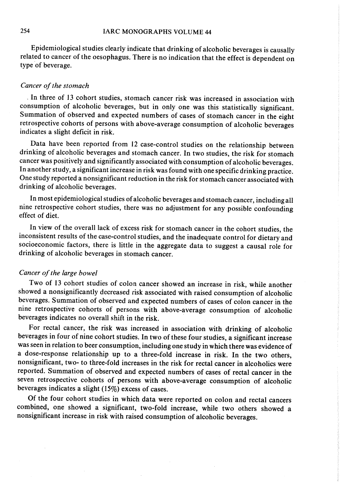Epidemiological studies clearly indicate that drinking of alcoholic beverages is causally related to cancer of the oesophagus. There is no indication that the effect is dependent on type of beverage.

#### Cancer of the stomach

. ln three of 13 cohort studies, stomach cancer risk was increased in association with consumption of a1coholic beverages, but in only one was this statistically significant. Summation of observed and expected numbers of cases of stomach cancer in the eight retrospective cohorts of persons with above-average consumption of alcoholic beverages indicates a slight deficit in risk.

Data have been reported from 12 case-control studies on the relationship between drinking of a1coholic beverages and stomach cancer. ln two studies, the risk for stomach cancer was positively and significantly associated with consumption of alcoholic beverages. ln another study, a significant increase in risk was found with one specifie drinking practice. One study reported a nonsignificant reduction in the risk for stomach cancer associated with drinking of a1coholic beverages.

In most epidemiological studies of alcoholic beverages and stomach cancer, including all nine retrospective cohort studies, there was no adjustment for any possible confounding effect of diet.

ln view of the overalIlack of excess risk for stomach cancer in the cohort studies, the inconsistent results of the case-control studies, and the inadequate control for dietary and socioeconomic factors, there is little in the aggregate data to suggest a causal role for drinking of a1coholic beverages in stomach cancer.

#### Cancer of the large bowel

Two of 13 cohort studies of colon cancer showed an increase in risk, while another showed a nonsignificantly decreased risk associated with raised consumption of alcoholic beverages. Summation of observed and expected numbers of cases of colon cancer in the nine retrospective cohorts of persons with above-average consumption of alcoholic beverages indicates no overall shift in the risk.

For rectal cancer, the risk was increased in association with drinking of alcoholic beverages in four of nine cohort studies. ln two of these four studies, a significant increase was seen in relation to beer consumption, including one study in which there was evidence of a dose-response relationship up to a three-fold increase in risk. ln the two others, nonsignificant, two- to three-fold increases in the risk for rectal cancer in alcoholics were reported. Summation of observed and expected numbers of cases of rectal cancer in the seven retrospective cohorts of persons with above-average consumption of alcoholic beverages indicates a slight (15%) excess of cases.

Of the four cohort studies in which data were reported on colon and rectal cancers combined, one showed a significant, two-fold increase, while two others showed a nonsignificant increase in risk with raised consumption of alcoholic beverages.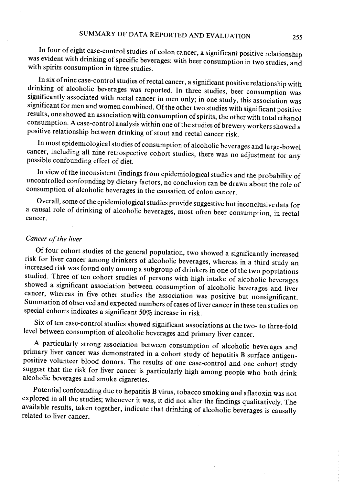ln four of eight case-control studies of colon cancer, a significant positive relationship was evident with drinking of specific beverages: with beer consumption in two studies, and with spirits consumption in three studies.

In six of nine case-control studies of rectal cancer, a significant positive relationship with drinking of alcoholic beverages was reported. ln three studies, beer consumption was significantly associated with rectal cancer in men only; in one study, this association was significant for men and women combined. Of the other two studies with significant positive results, one showed an association with consumption of spirits, the other with total ethanol consumption. A case-control analysis within one of the studies of brewery workers showed a positive relationship between drinking of stout and rectal cancer risk.

In most epidemiological studies of consumption of alcoholic beverages and large-bowel cancer, including all nine retrospective cohort studies, there was no adjustment for any possible confounding effect of diet.

ln view of the inconsistent findings from epidemiological studies and the probability of uncontrolIed confounding by dietary factors, no conclusion can be drawn about the role of consumption of a1coholic beverages in the causation of colon cancer.

OveralI, some of the epidemiological studies provide suggestive but inconclusive data for a causal role of drinking of alcoholic beverages, most often beer consumption, in rectal cancer.

#### Cancer of the liver

Of four cohort studies of the general population, two showed a significantly increased risk for liver cancer among drinkers of alcoholic beverages, whereas in a third study an increased risk was found only among a subgroup of drinkers in one of the two populations studied. Three of ten cohort studies of persons with high intake of alcoholic beverages showed a significant association between consumption of alcoholic beverages and liver cancer, whereas in five other studies the association was positive but nonsignificant. Summation of observed and expected numbers of cases of liver cancer in these ten studies on special cohorts indicates a significant 50% increase in risk.

Six of ten case-control studies showed significant associations at the two- to three-fold level between consumption of alcoholic beverages and primary liver cancer.

A particularly strong association between consumption of alcoholic beverages and primary liver cancer was demonstrated in a cohort study of hepatitis B surface antigenpositive volunteer blood donors. The results of one case-control and one cohort study suggest that the risk for liver cancer is particularly high among people who both drink alcoholic beverages and smoke cigarettes.

Potential confounding due to hepatitis B virus, tobacco smoking and aflatoxin was not explored in all the studies; whenever it was, it did not alter the findings qualitatively. The available results, taken together, indicate that drinking of alcoholic beverages is causally related to liver cancer.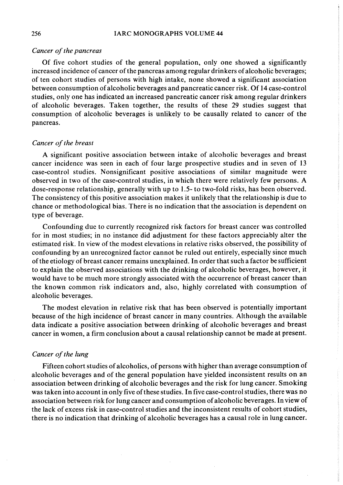### Cancer of the pancreas

Of five cohort studies of the general population, only one showed a significantly increased incidence of cancer of the pancreas among regular drinkers of a1coholic beverages; of ten cohort studies of persons with high intake, none showed a significant association between consumption of alcoholic beverages and pancreatic cancer risk. Of 14 case-control studies, only one has indicated an increased pancreatic cancer risk among regular drinkers of a1coholic beverages. Taken together, the results of these 29 studies suggest that consumption of a1coholic beverages is unlikely to be causalIy related to cancer of the pancreas.

## Cancer of the breast

A significant positive association between intake of alcoholic beverages and breast cancer incidence was seen in each of four large prospective studies and in seven of 13 case-control studies. Nonsignificant positive associations of similar magnitude were observed in two of the case-control studies, in which there were relatively few persons. A dose-response relationship, generalIy with up to 1.5- to two-fold risks, has been observed. The consistency of this positive association makes it unlikely that the relationship is due to chance or methodological bias. There is no indication that the association is dependent on type of beverage.

Confounding due to currently recognized risk factors for breast cancer was controlled for in most studies; in no instance did adjustment for these factors appreciably alter the estimated risk. ln view of the modest elevations in relative risks observed, the possibilty of confounding by an unrecognized factor cannot be ruled out entirely, especialIy since much of the etiology of breast cancer remains unexplained. ln order that such a factor be sufficient to explain the observed associations with the drinking of alcoholic beverages, however, it would have to be much more strongly associated with the occurrence of breast cancer than the known common risk indicators and, also, highly correlated with consumption of alcoholic beverages.

The modest elevation in relative risk that has been observed is potentially important because of the high incidence of breast cancer in many countries. Although the available data indicate a positive association between drinking of a1coholic beverages and breast cancer in women, a firm conclusion about a causal relationship cannot be made at present.

## Cancer of the lung

Fifteen cohort studies of alcoholics, of persons with higher than average consumption of alcoholic beverages and of the general population have yielded inconsistent results on an association between drinking of a1coholic beverages and the risk for lung cancer. Smoking was taken into account in only five of these studies. ln five case-control studies, there was no association between risk for lung cancer and consumption of alcoholic beverages. ln view of the lack of excess risk in case-control studies and the inconsistent results of cohort studies, there is no indication that drinking of a1coholic beverages has a causal role in lung cancer.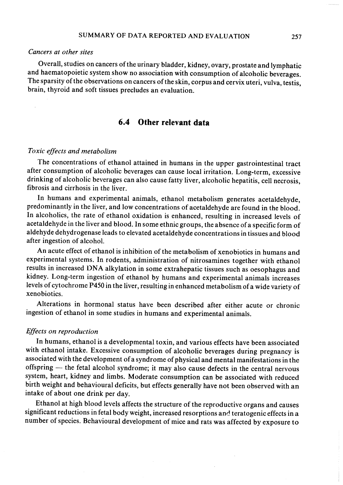#### Cancers at other sites

Overall, studies on cancers of the urinary bladder, kidney, ovary, prostate and lymphatic and haematopoietic system show no association with consumption of a1coholic beverages. The sparsity of the observations on cancers of the skin, corpus and cervix uteri, vulva, testis, brain, thyroid and soft tissues precludes an evaluation.

## 6.4 Other relevant data

## Toxic effects and metabolism

The concentrations of ethanol attained in humans in the upper gastrointestinal tract after consumption of alcoholic beverages can cause local irritation. Long-term, excessive drinking of alcoholic beverages can also cause fatty liver, alcoholic hepatitis, cell necrosis, fibrosis and cirrhosis in the liver.

ln humans and experimental animaIs, ethanol metabolism generates acetaldehyde, predominantly in the liver, and low concentrations of acetaldehyde are found in the blood. ln a1coholics, the rate of ethanol oxidation is enhanced, resulting in increased levels of acetaldehyde in the liver and blood. ln some ethnic groups, the absence of a specific form of aldehyde dehydrogenase leads to elevated acetaldehyde concentrations in tissues and blood after ingestion of alcohoL.

An acute effect of ethanol is inhibition of the metabolism of xenobiotics in humans and experimental systems. ln rodents, administration of nitrosamines together with ethanol results in increased DNA alkylation in some extrahepatic tissues such as oesophagus and kidney. Long-term ingestion of ethanol by humans and experimental animals increases levels of cytochrome P450 in the liver, resulting in enhanced metabolism of a wide variety of xenobiotics.

Alterations in hormonal status have been described after either acute or chronic ingestion of ethanol in some studies in humans and experimental animals.

#### Effects on reproduction

ln humans, ethanol is a developmental toxin, and various effects have been associated with ethanol intake. Excessive consumption of alcoholic beverages during pregnancy is associated with the development of a syndrome of physica1 and mental manifestations in the offspring - the fetal alcohol syndrome; it may also cause defects in the central nervous system, heart, kidney and limbs. Moderate consumption can be associated with reduced birth weight and behavioural deficits, but effects generally have not been observed with an intake of about one drink per day.

Ethanol at high blood levels affects the structure of the reproductive organs and causes significant reductions in fetal body weight, increased resorptions and teratogenic effects in a number of species. Behavioural development of mice and rats was affected by exposure to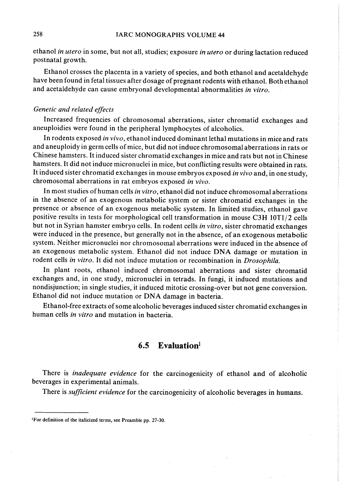ethanol in utero in some, but not all, studies; exposure in utero or during lactation reduced postnatal growth.

Ethanol crosses the placenta in a variety of species, and both ethanol and acetaldehyde have been found in fetal tissues after dosage of pregnant rodents with ethanol. Both ethanol and acetaldehyde can cause embryonal developmental abnormalities in vitro.

## Genetic and related effects

Increased frequencies of chromosomal aberrations, sister chromatid exchanges and aneuploidies were found in the peripheral lymphocytes of alcoholics.

ln rodents exposed in vivo, ethanol induced dominant lethal mutations in mice and rats and aneuploidy in germ celIs of mice, but did not induce chromos omal aberrations in rats or Chinese hamsters. It induced sister chromatid exchanges in mice and rats but not in Chinese hamsters. It did not induce micronuclei in mice, but conflicting results were obtained in rats. It induced sister chromatid exchanges in mouse embryos exposed in vivo and, in one study, chromosomal aberrations in rat embryos exposed in vivo.

In most studies of human cells in vitro, ethanol did not induce chromosomal aberrations in the absence of an exogenous metabolic system or sister chromatid exchanges in the presence or absence of an exogenous metabolic system. In limited studies, ethanol gave positive results in tests for morphological celI transformation in mouse C3H lOT1/2 cells but not in Syrian hamster embryo cells. In rodent cells in vitro, sister chromatid exchanges were induced in the presence, but generally not in the absence, of an exogenous metabolic system. Neither micronuclei nor chromosomal aberrations were induced in the absence of an exogenous metabolic system. Ethanol did not induce DNA damage or mutation in rodent cells in vitro. It did not induce mutation or recombination in Drosophila.

ln plant roots, ethanol induced chromosomal aberrations and sister chromatid exchanges and, in one study, micronuclei in tetrads. ln fungi, it induced mutations and nondisjunction; in single studies, it induced mitotic crossing-over but not gene conversion. Ethanol did not induce mutation or DNA damage in bacteria.

Ethanol-free extracts of some alcoholic beverages induced sister chromatid exchanges in human cells in vitro and mutation in bacteria.

# 6.5 Evaluationl

There is inadequate evidence for the carcinogenicity of ethanol and of alcoholic beverages in experimental animaIs.

There is *sufficient evidence* for the carcinogenicity of alcoholic beverages in humans.

<sup>&</sup>lt;sup>1</sup>For definition of the italicized terms, see Preamble pp. 27-30.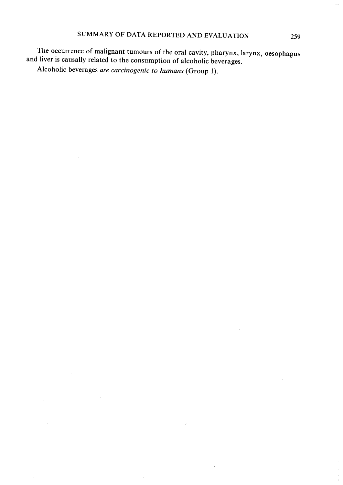The occurrence of malignant tumours of the oral cavity, pharynx, larynx, oesophagus and liver is causally related to the consumption of alcoholic beverages. Alcoholic beverages are carcinogenic to humans (Group 1).